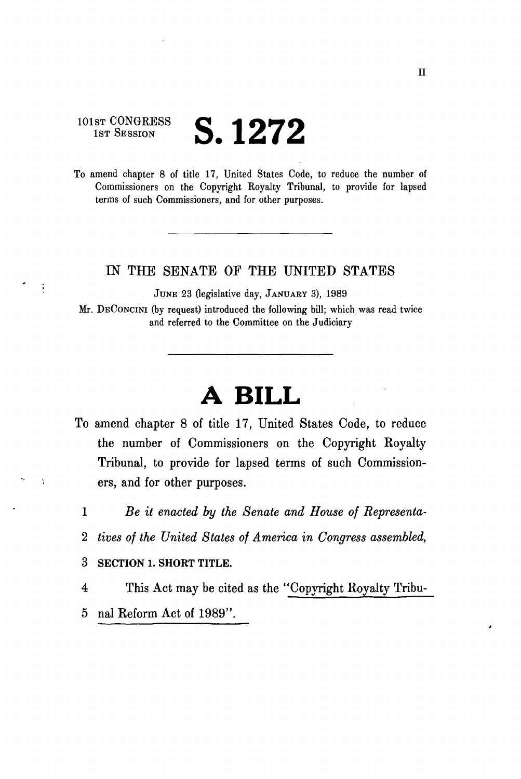## $101$ st  $CONGRESS$   $Q$  4  $\Omega$ m <sup>1st Session</sup>  $\bigcup$ . 1 $\bigcup$  1<sup>2</sup>

To amend chapter 8 of title 17, United States Code, to reduce the number of Commissioners on the Copyright Koyalty Tribunal, to provide for lapsed terms of such Commissioners, and for other purposes.

## IN THE SENATE OF THE UNITED STATES

JUNE 23 (legislative day, JANUARY 3), 1989

Mr. DECONCINI (by request) introduced the following bill; which was read twice and referred to the Committee on the Judiciary

## **A BILL**

- To amend chapter 8 of title 17, United States Code, to reduce the number of Commissioners on the Copyright Royalty Tribunal, to provide for lapsed terms of such Commissioners, and for other purposes.
	- 1 *Be it enacted by the Senate and House of Representa-*
	- 2 *tives of the United States of America in Congress assembled,*
	- 3 SECTION 1. SHORT TITLE.

 $\tilde{\bullet}$ 

4 This Act may be cited as the "Copyright Royalty Tribu-5 nal Reform Act of 1989".